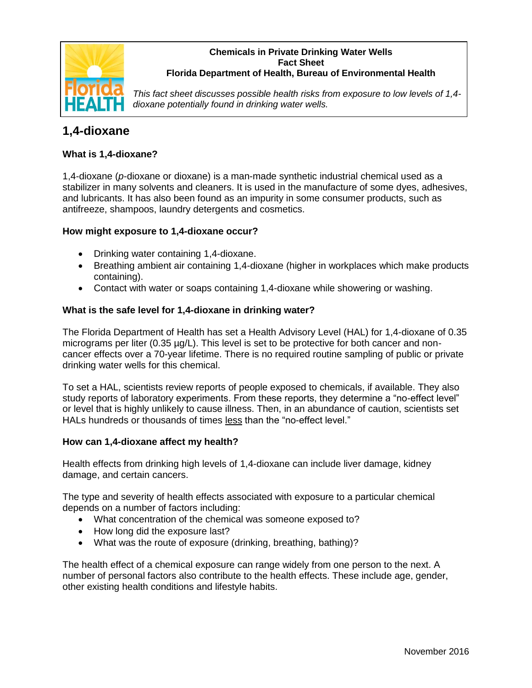

#### **Chemicals in Private Drinking Water Wells Fact Sheet Florida Department of Health, Bureau of Environmental Health**

*This fact sheet discusses possible health risks from exposure to low levels of 1,4 dioxane potentially found in drinking water wells.* 

# **1,4-dioxane**

## **What is 1,4-dioxane?**

1,4-dioxane (*p*-dioxane or dioxane) is a man-made synthetic industrial chemical used as a stabilizer in many solvents and cleaners. It is used in the manufacture of some dyes, adhesives, and lubricants. It has also been found as an impurity in some consumer products, such as antifreeze, shampoos, laundry detergents and cosmetics.

## **How might exposure to 1,4-dioxane occur?**

- Drinking water containing 1,4-dioxane.
- Breathing ambient air containing 1,4-dioxane (higher in workplaces which make products containing).
- Contact with water or soaps containing 1,4-dioxane while showering or washing.

## **What is the safe level for 1,4-dioxane in drinking water?**

The Florida Department of Health has set a Health Advisory Level (HAL) for 1,4-dioxane of 0.35 micrograms per liter (0.35 µg/L). This level is set to be protective for both cancer and noncancer effects over a 70-year lifetime. There is no required routine sampling of public or private drinking water wells for this chemical.

To set a HAL, scientists review reports of people exposed to chemicals, if available. They also study reports of laboratory experiments. From these reports, they determine a "no-effect level" or level that is highly unlikely to cause illness. Then, in an abundance of caution, scientists set HALs hundreds or thousands of times less than the "no-effect level."

#### **How can 1,4-dioxane affect my health?**

Health effects from drinking high levels of 1,4-dioxane can include liver damage, kidney damage, and certain cancers.

The type and severity of health effects associated with exposure to a particular chemical depends on a number of factors including:

- What concentration of the chemical was someone exposed to?
- How long did the exposure last?
- What was the route of exposure (drinking, breathing, bathing)?

The health effect of a chemical exposure can range widely from one person to the next. A number of personal factors also contribute to the health effects. These include age, gender, other existing health conditions and lifestyle habits.